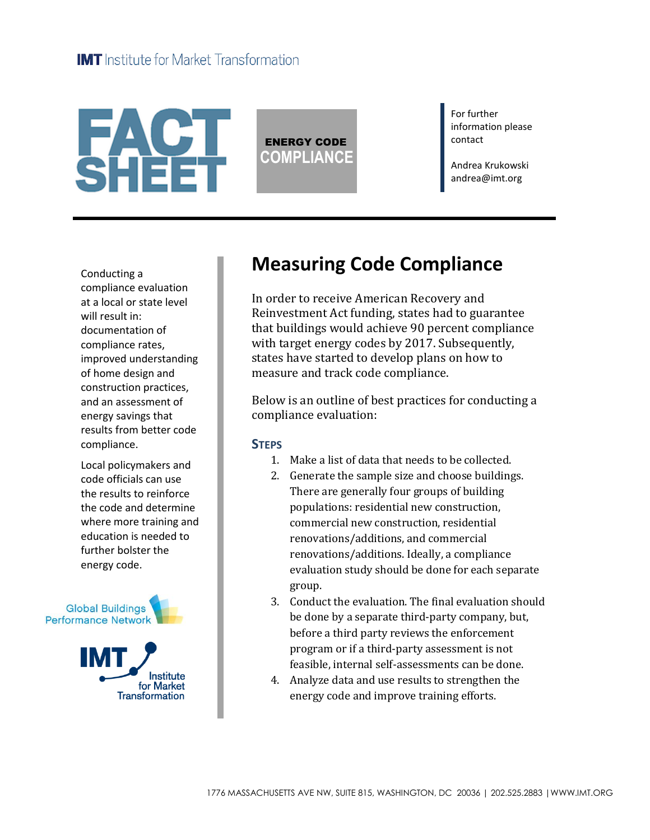# **FACT**<br>SHEET

ENERGY CODE **COMPLIANCE** For further information please contact

Andrea Krukowski andrea@imt.org

Conducting a compliance evaluation at a local or state level will result in: documentation of compliance rates, improved understanding of home design and construction practices, and an assessment of energy savings that results from better code compliance.

Local policymakers and code officials can use the results to reinforce the code and determine where more training and education is needed to further bolster the energy code.



# **Measuring Code Compliance**

In order to receive American Recovery and Reinvestment Act funding, states had to guarantee that buildings would achieve 90 percent compliance with target energy codes by 2017. Subsequently, states have started to develop plans on how to measure and track code compliance.

Below is an outline of best practices for conducting a compliance evaluation:

### **STEPS**

- 1. Make a list of data that needs to be collected.
- 2. Generate the sample size and choose buildings. There are generally four groups of building populations: residential new construction, commercial new construction, residential renovations/additions, and commercial renovations/additions. Ideally, a compliance evaluation study should be done for each separate group.
- 3. Conduct the evaluation. The final evaluation should be done by a separate third-party company, but, before a third party reviews the enforcement program or if a third-party assessment is not feasible, internal self-assessments can be done.
- 4. Analyze data and use results to strengthen the energy code and improve training efforts.